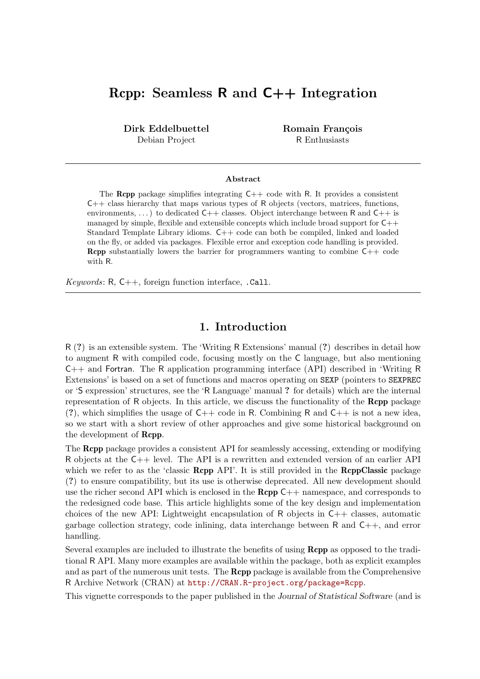# Rcpp: Seamless R and C++ Integration

Dirk Eddelbuettel Debian Project

Romain François R Enthusiasts

#### Abstract

The **Rcpp** package simplifies integrating  $C++$  code with R. It provides a consistent  $C++$  class hierarchy that maps various types of R objects (vectors, matrices, functions, environments, ...) to dedicated  $C++$  classes. Object interchange between R and  $C++$  is managed by simple, flexible and extensible concepts which include broad support for  $C_{++}$ Standard Template Library idioms. C++ code can both be compiled, linked and loaded on the fly, or added via packages. Flexible error and exception code handling is provided. Rcpp substantially lowers the barrier for programmers wanting to combine C++ code with R.

Keywords:  $R, C++,$  foreign function interface, .Call.

### 1. Introduction

R (?) is an extensible system. The 'Writing R Extensions' manual (?) describes in detail how to augment R with compiled code, focusing mostly on the C language, but also mentioning C++ and Fortran. The R application programming interface (API) described in 'Writing R Extensions' is based on a set of functions and macros operating on SEXP (pointers to SEXPREC or 'S expression' structures, see the 'R Language' manual ? for details) which are the internal representation of R objects. In this article, we discuss the functionality of the Rcpp package (?), which simplifies the usage of  $C++$  code in R. Combining R and  $C++$  is not a new idea, so we start with a short review of other approaches and give some historical background on the development of Rcpp.

The Rcpp package provides a consistent API for seamlessly accessing, extending or modifying R objects at the C++ level. The API is a rewritten and extended version of an earlier API which we refer to as the 'classic **Rcpp** API'. It is still provided in the **RcppClassic** package (?) to ensure compatibility, but its use is otherwise deprecated. All new development should use the richer second API which is enclosed in the  $\mathbf{Rcpp}$  C++ namespace, and corresponds to the redesigned code base. This article highlights some of the key design and implementation choices of the new API: Lightweight encapsulation of R objects in  $C++$  classes, automatic garbage collection strategy, code inlining, data interchange between R and C++, and error handling.

Several examples are included to illustrate the benefits of using Rcpp as opposed to the traditional R API. Many more examples are available within the package, both as explicit examples and as part of the numerous unit tests. The **Rcpp** package is available from the Comprehensive R Archive Network (CRAN) at http://CRAN.R-project.org/package=Rcpp.

This vignette corresponds to the paper published in the Journal of Statistical Software (and is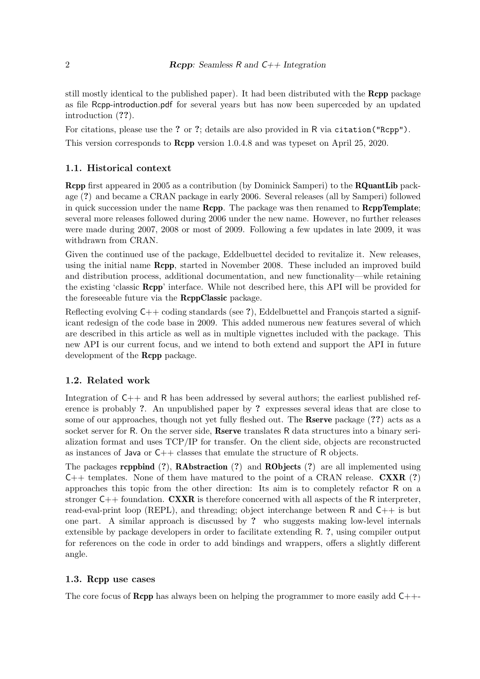still mostly identical to the published paper). It had been distributed with the Rcpp package as file Rcpp-introduction.pdf for several years but has now been superceded by an updated introduction (??).

For citations, please use the ? or ?; details are also provided in R via citation ("Rcpp"). This version corresponds to Rcpp version 1.0.4.8 and was typeset on April 25, 2020.

### 1.1. Historical context

Rcpp first appeared in 2005 as a contribution (by Dominick Samperi) to the RQuantLib package (?) and became a CRAN package in early 2006. Several releases (all by Samperi) followed in quick succession under the name  $\mathbf{Rcpp}$ . The package was then renamed to  $\mathbf{RcppTemplate}$ ; several more releases followed during 2006 under the new name. However, no further releases were made during 2007, 2008 or most of 2009. Following a few updates in late 2009, it was withdrawn from CRAN.

Given the continued use of the package, Eddelbuettel decided to revitalize it. New releases, using the initial name Rcpp, started in November 2008. These included an improved build and distribution process, additional documentation, and new functionality—while retaining the existing 'classic Rcpp' interface. While not described here, this API will be provided for the foreseeable future via the RcppClassic package.

Reflecting evolving  $C++$  coding standards (see ?), Eddelbuettel and François started a significant redesign of the code base in 2009. This added numerous new features several of which are described in this article as well as in multiple vignettes included with the package. This new API is our current focus, and we intend to both extend and support the API in future development of the **Rcpp** package.

### 1.2. Related work

Integration of C++ and R has been addressed by several authors; the earliest published reference is probably ?. An unpublished paper by ? expresses several ideas that are close to some of our approaches, though not yet fully fleshed out. The **Rserve** package (??) acts as a socket server for R. On the server side, **Reerve** translates R data structures into a binary serialization format and uses TCP/IP for transfer. On the client side, objects are reconstructed as instances of Java or  $C_{++}$  classes that emulate the structure of R objects.

The packages **rcppbind** (?), **RAbstraction** (?) and **RObjects** (?) are all implemented using  $C++$  templates. None of them have matured to the point of a CRAN release. **CXXR** (?) approaches this topic from the other direction: Its aim is to completely refactor R on a stronger  $C_{++}$  foundation. **CXXR** is therefore concerned with all aspects of the R interpreter, read-eval-print loop (REPL), and threading; object interchange between R and C++ is but one part. A similar approach is discussed by ? who suggests making low-level internals extensible by package developers in order to facilitate extending R. ?, using compiler output for references on the code in order to add bindings and wrappers, offers a slightly different angle.

#### 1.3. Rcpp use cases

The core focus of **Rcpp** has always been on helping the programmer to more easily add  $C++-$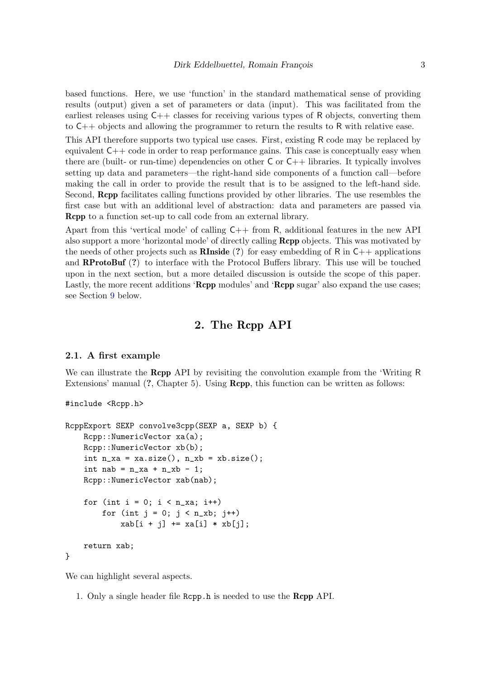based functions. Here, we use 'function' in the standard mathematical sense of providing results (output) given a set of parameters or data (input). This was facilitated from the earliest releases using  $C_{++}$  classes for receiving various types of R objects, converting them to C++ objects and allowing the programmer to return the results to R with relative ease.

This API therefore supports two typical use cases. First, existing R code may be replaced by equivalent  $C_{++}$  code in order to reap performance gains. This case is conceptually easy when there are (built- or run-time) dependencies on other  $C$  or  $C++$  libraries. It typically involves setting up data and parameters—the right-hand side components of a function call—before making the call in order to provide the result that is to be assigned to the left-hand side. Second, Rcpp facilitates calling functions provided by other libraries. The use resembles the first case but with an additional level of abstraction: data and parameters are passed via Rcpp to a function set-up to call code from an external library.

Apart from this 'vertical mode' of calling C++ from R, additional features in the new API also support a more 'horizontal mode' of directly calling Rcpp objects. This was motivated by the needs of other projects such as **RInside** (?) for easy embedding of R in  $C_{++}$  applications and RProtoBuf (?) to interface with the Protocol Buffers library. This use will be touched upon in the next section, but a more detailed discussion is outside the scope of this paper. Lastly, the more recent additions 'Rcpp modules' and 'Rcpp sugar' also expand the use cases; see Section 9 below.

### 2. The Rcpp API

#### 2.1. A first example

We can illustrate the **Rcpp** API by revisiting the convolution example from the 'Writing R Extensions' manual (?, Chapter 5). Using **Rcpp**, this function can be written as follows:

```
#include <Rcpp.h>
```

```
RcppExport SEXP convolve3cpp(SEXP a, SEXP b) {
    Rcpp::NumericVector xa(a);
    Rcpp::NumericVector xb(b);
    int n_x = xa.size(), n_x = xb.size();int nab = n_{x}a + n_{x}b - 1;
    Rcpp::NumericVector xab(nab);
    for (int i = 0; i < n_{x_i}; i^{++})
        for (int j = 0; j < n_k, j^{++})
            xab[i + j] += xa[i] * xb[j];return xab;
}
```
We can highlight several aspects.

1. Only a single header file Rcpp.h is needed to use the Rcpp API.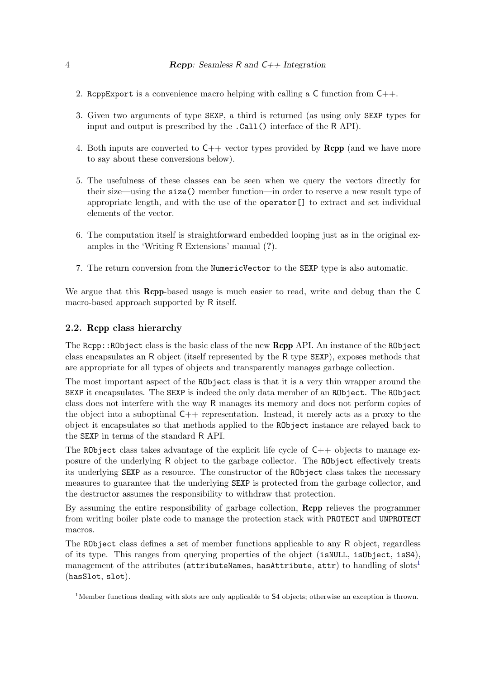- 2. ReppExport is a convenience macro helping with calling a  $\mathsf C$  function from  $\mathsf C++$ .
- 3. Given two arguments of type SEXP, a third is returned (as using only SEXP types for input and output is prescribed by the .Call() interface of the R API).
- 4. Both inputs are converted to  $C_{++}$  vector types provided by  $\mathbf{Rcpp}$  (and we have more to say about these conversions below).
- 5. The usefulness of these classes can be seen when we query the vectors directly for their size—using the size() member function—in order to reserve a new result type of appropriate length, and with the use of the operator[] to extract and set individual elements of the vector.
- 6. The computation itself is straightforward embedded looping just as in the original examples in the 'Writing R Extensions' manual (?).
- 7. The return conversion from the NumericVector to the SEXP type is also automatic.

We argue that this **Rcpp**-based usage is much easier to read, write and debug than the C macro-based approach supported by R itself.

#### 2.2. Rcpp class hierarchy

The Rcpp::RObject class is the basic class of the new Rcpp API. An instance of the RObject class encapsulates an R object (itself represented by the R type SEXP), exposes methods that are appropriate for all types of objects and transparently manages garbage collection.

The most important aspect of the RObject class is that it is a very thin wrapper around the SEXP it encapsulates. The SEXP is indeed the only data member of an RObject. The RObject class does not interfere with the way R manages its memory and does not perform copies of the object into a suboptimal  $C++$  representation. Instead, it merely acts as a proxy to the object it encapsulates so that methods applied to the RObject instance are relayed back to the SEXP in terms of the standard R API.

The RObject class takes advantage of the explicit life cycle of  $C++$  objects to manage exposure of the underlying R object to the garbage collector. The RObject effectively treats its underlying SEXP as a resource. The constructor of the RObject class takes the necessary measures to guarantee that the underlying SEXP is protected from the garbage collector, and the destructor assumes the responsibility to withdraw that protection.

By assuming the entire responsibility of garbage collection, Rcpp relieves the programmer from writing boiler plate code to manage the protection stack with PROTECT and UNPROTECT macros.

The RObject class defines a set of member functions applicable to any R object, regardless of its type. This ranges from querying properties of the object (isNULL, isObject, isS4), management of the attributes (attributeNames, hasAttribute, attr) to handling of slots<sup>1</sup> (hasSlot, slot).

<sup>&</sup>lt;sup>1</sup>Member functions dealing with slots are only applicable to  $S4$  objects; otherwise an exception is thrown.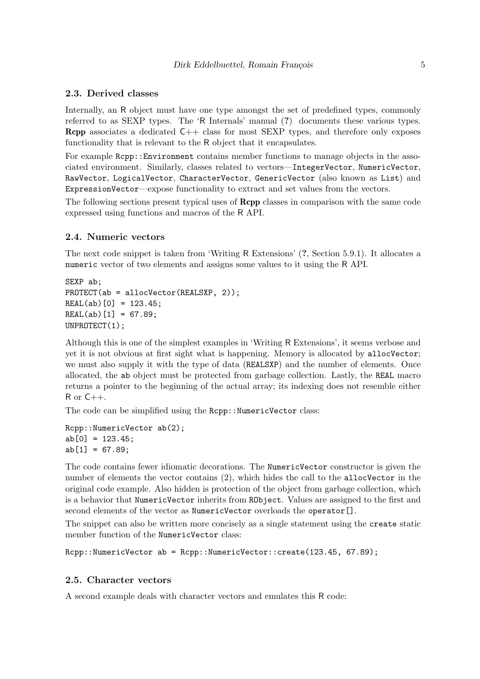#### 2.3. Derived classes

Internally, an R object must have one type amongst the set of predefined types, commonly referred to as SEXP types. The 'R Internals' manual (?) documents these various types. **Rcpp** associates a dedicated  $C++$  class for most SEXP types, and therefore only exposes functionality that is relevant to the R object that it encapsulates.

For example Rcpp:: Environment contains member functions to manage objects in the associated environment. Similarly, classes related to vectors—IntegerVector, NumericVector, RawVector, LogicalVector, CharacterVector, GenericVector (also known as List) and ExpressionVector—expose functionality to extract and set values from the vectors.

The following sections present typical uses of Rcpp classes in comparison with the same code expressed using functions and macros of the R API.

#### 2.4. Numeric vectors

The next code snippet is taken from 'Writing R Extensions' (?, Section 5.9.1). It allocates a numeric vector of two elements and assigns some values to it using the R API.

```
SEXP ab;
PROTECT(ab = allocVector(REALSXP, 2));
REAL(ab)[0] = 123.45;
REAL(ab) [1] = 67.89;UNPROTECT(1);
```
Although this is one of the simplest examples in 'Writing R Extensions', it seems verbose and yet it is not obvious at first sight what is happening. Memory is allocated by allocVector; we must also supply it with the type of data (REALSXP) and the number of elements. Once allocated, the ab object must be protected from garbage collection. Lastly, the REAL macro returns a pointer to the beginning of the actual array; its indexing does not resemble either  $R$  or  $C++$ .

The code can be simplified using the Rcpp:: NumericVector class:

```
Rcpp::NumericVector ab(2);
ab[0] = 123.45;ab[1] = 67.89;
```
The code contains fewer idiomatic decorations. The NumericVector constructor is given the number of elements the vector contains (2), which hides the call to the allocVector in the original code example. Also hidden is protection of the object from garbage collection, which is a behavior that NumericVector inherits from RObject. Values are assigned to the first and second elements of the vector as NumericVector overloads the operator[].

The snippet can also be written more concisely as a single statement using the create static member function of the NumericVector class:

Rcpp::NumericVector ab = Rcpp::NumericVector::create(123.45, 67.89);

#### 2.5. Character vectors

A second example deals with character vectors and emulates this R code: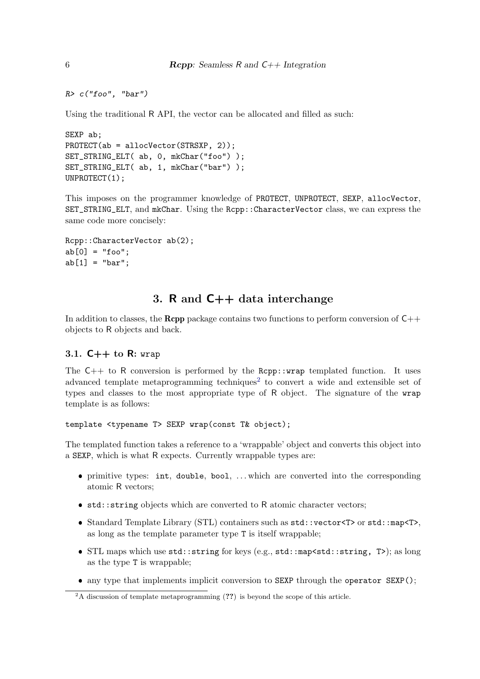```
R> c("foo", "bar")
```
Using the traditional R API, the vector can be allocated and filled as such:

```
SEXP ab;
PROTECT(ab = allocVector(STRSXP, 2));
SET_STRING_ELT( ab, 0, mkChar("foo") );
SET_STRING_ELT( ab, 1, mkChar("bar") );
UNPROTECT(1);
```
This imposes on the programmer knowledge of PROTECT, UNPROTECT, SEXP, allocVector, SET\_STRING\_ELT, and mkChar. Using the Rcpp::CharacterVector class, we can express the same code more concisely:

```
Rcpp::CharacterVector ab(2);
ab[0] = "foo";ab[1] = "bar";
```
## 3. R and C++ data interchange

In addition to classes, the **Rcpp** package contains two functions to perform conversion of  $C++$ objects to R objects and back.

### 3.1.  $C++$  to R: wrap

The  $C++$  to R conversion is performed by the Rcpp::wrap templated function. It uses advanced template metaprogramming techniques<sup>2</sup> to convert a wide and extensible set of types and classes to the most appropriate type of R object. The signature of the wrap template is as follows:

template <typename T> SEXP wrap(const T& object);

The templated function takes a reference to a 'wrappable' object and converts this object into a SEXP, which is what R expects. Currently wrappable types are:

- ❼ primitive types: int, double, bool, . . . which are converted into the corresponding atomic R vectors;
- std::string objects which are converted to R atomic character vectors;
- ❼ Standard Template Library (STL) containers such as std::vector<T> or std::map<T>, as long as the template parameter type T is itself wrappable;
- ❼ STL maps which use std::string for keys (e.g., std::map<std::string, T>); as long as the type T is wrappable;
- any type that implements implicit conversion to SEXP through the operator SEXP();

 ${}^{2}$ A discussion of template metaprogramming (??) is beyond the scope of this article.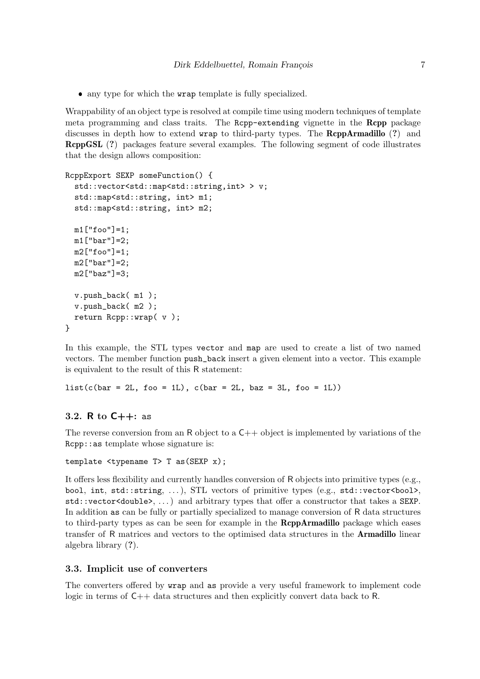❼ any type for which the wrap template is fully specialized.

Wrappability of an object type is resolved at compile time using modern techniques of template meta programming and class traits. The Rcpp-extending vignette in the Rcpp package discusses in depth how to extend wrap to third-party types. The RcppArmadillo (?) and RcppGSL (?) packages feature several examples. The following segment of code illustrates that the design allows composition:

```
RcppExport SEXP someFunction() {
  std::vector<std::map<std::string,int> > v;
  std::map<std::string, int> m1;
  std::map<std::string, int> m2;
  m1["foo"]=1;
  m1["bar"]=2;
  m2["foo"]=1;
  m2["bar"]=2;
  m2["baz"]=3;
  v.push_back( m1 );
  v.push_back( m2 );
  return Rcpp::wrap( v );
}
```
In this example, the STL types vector and map are used to create a list of two named vectors. The member function push\_back insert a given element into a vector. This example is equivalent to the result of this R statement:

```
list(c(bar = 2L, foo = 1L), c(bar = 2L, baz = 3L, foo = 1L))
```
#### 3.2. R to C++: as

The reverse conversion from an R object to a  $C_{++}$  object is implemented by variations of the Rcpp::as template whose signature is:

```
template <typename T> T as(SEXP x);
```
It offers less flexibility and currently handles conversion of R objects into primitive types (e.g., bool, int, std::string, . . . ), STL vectors of primitive types (e.g., std::vector<bool>, std::vector<double>, . . . ) and arbitrary types that offer a constructor that takes a SEXP. In addition as can be fully or partially specialized to manage conversion of R data structures to third-party types as can be seen for example in the RcppArmadillo package which eases transfer of R matrices and vectors to the optimised data structures in the Armadillo linear algebra library (?).

#### 3.3. Implicit use of converters

The converters offered by wrap and as provide a very useful framework to implement code logic in terms of C++ data structures and then explicitly convert data back to R.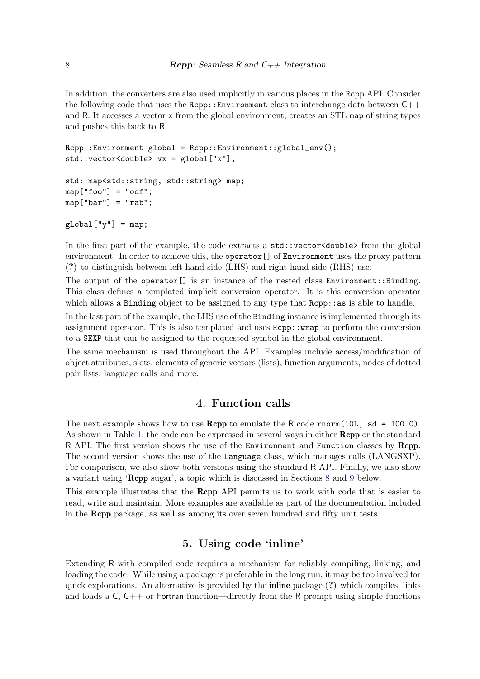In addition, the converters are also used implicitly in various places in the Rcpp API. Consider the following code that uses the  $Rcpp::Environment$  class to interchange data between  $C++$ and R. It accesses a vector x from the global environment, creates an STL map of string types and pushes this back to R:

```
Rcpp::Environment global = Rcpp::Environment::global_env();
std::vector<double> vx = global["x"];
```

```
std::map<std::string, std::string> map;
map['foo"] = "oof":map['bar"] = "rab";
```

```
global['y"] = map;
```
In the first part of the example, the code extracts a  $std::vector \leq double \geq from the global$ environment. In order to achieve this, the operator [] of Environment uses the proxy pattern (?) to distinguish between left hand side (LHS) and right hand side (RHS) use.

The output of the operator<sup>[]</sup> is an instance of the nested class Environment::Binding. This class defines a templated implicit conversion operator. It is this conversion operator which allows a Binding object to be assigned to any type that  $\text{Rcpp}$ : as is able to handle.

In the last part of the example, the LHS use of the Binding instance is implemented through its assignment operator. This is also templated and uses Rcpp::wrap to perform the conversion to a SEXP that can be assigned to the requested symbol in the global environment.

The same mechanism is used throughout the API. Examples include access/modification of object attributes, slots, elements of generic vectors (lists), function arguments, nodes of dotted pair lists, language calls and more.

## 4. Function calls

The next example shows how to use **Rcpp** to emulate the R code rnorm(10L, sd = 100.0). As shown in Table 1, the code can be expressed in several ways in either **Rcpp** or the standard R API. The first version shows the use of the Environment and Function classes by Rcpp. The second version shows the use of the Language class, which manages calls (LANGSXP). For comparison, we also show both versions using the standard R API. Finally, we also show a variant using 'Rcpp sugar', a topic which is discussed in Sections 8 and 9 below.

This example illustrates that the Rcpp API permits us to work with code that is easier to read, write and maintain. More examples are available as part of the documentation included in the Rcpp package, as well as among its over seven hundred and fifty unit tests.

## 5. Using code 'inline'

Extending R with compiled code requires a mechanism for reliably compiling, linking, and loading the code. While using a package is preferable in the long run, it may be too involved for quick explorations. An alternative is provided by the **inline** package  $(?)$  which compiles, links and loads a  $C$ ,  $C++$  or Fortran function—directly from the R prompt using simple functions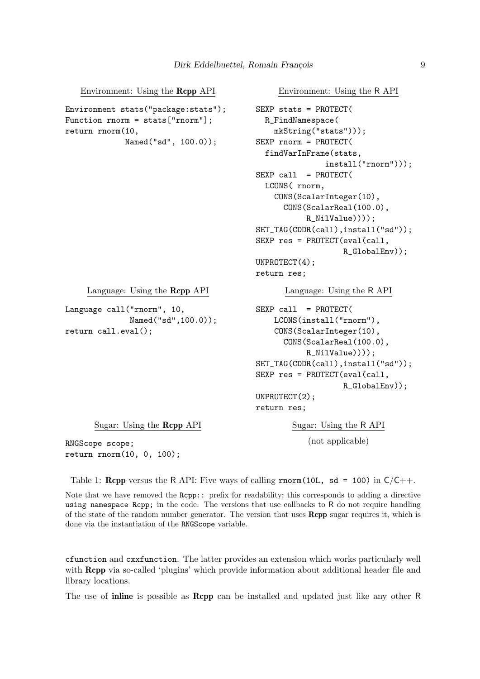Environment: Using the Rcpp API

```
Environment stats("package:stats");
Function rnorm = stats["rnorm"];
return rnorm(10,
             Named("sd", 100.0));
                                           SEXP stats = PROTECT(
                                             R_FindNamespace(
                                               mkString("stats")));
                                           SEXP rnorm = PROTECT(
                                             findVarInFrame(stats,
                                                          install("rnorm")));
                                           SEXP call = PROTECT(
                                             LCONS( rnorm,
                                               CONS(ScalarInteger(10),
                                                 CONS(ScalarReal(100.0),
                                                      R_NilValue))));
                                           SET_TAG(CDDR(call),install("sd"));
                                           SEXP res = PROTECT(eval(call,
                                                              R_GlobalEnv));
                                           UNPROTECT(4);
                                           return res;
     Language: Using the Rcpp API
Language call("rnorm", 10,
              Named("sd",100.0));
return call.eval();
                                                 Language: Using the R API
                                           SEXP call = PROTECT(
                                               LCONS(install("rnorm"),
                                               CONS(ScalarInteger(10),
                                                 CONS(ScalarReal(100.0),
                                                      R_NilValue))));
                                           SET_TAG(CDDR(call),install("sd"));
                                           SEXP res = PROTECT(eval(call,
                                                              R_GlobalEnv));
                                           UNPROTECT(2);
                                           return res;
      Sugar: Using the Rcpp API
RNGScope scope;
return rnorm(10, 0, 100);
                                                   Sugar: Using the R API
                                                       (not applicable)
```
Table 1: **Rcpp** versus the R API: Five ways of calling rnorm(10L, sd = 100) in  $C/C++$ .

Note that we have removed the Rcpp:: prefix for readability; this corresponds to adding a directive using namespace Rcpp; in the code. The versions that use callbacks to R do not require handling of the state of the random number generator. The version that uses Rcpp sugar requires it, which is done via the instantiation of the RNGScope variable.

cfunction and cxxfunction. The latter provides an extension which works particularly well with **Rcpp** via so-called 'plugins' which provide information about additional header file and library locations.

The use of inline is possible as Rcpp can be installed and updated just like any other R

Environment: Using the R API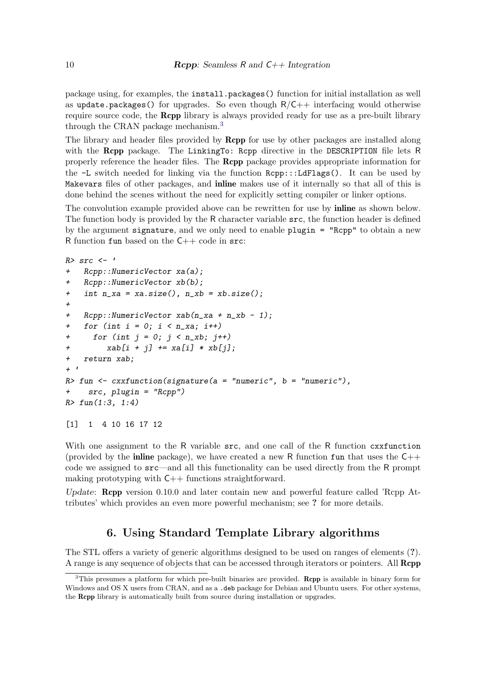package using, for examples, the install.packages() function for initial installation as well as update.packages() for upgrades. So even though  $R/C++$  interfacing would otherwise require source code, the Rcpp library is always provided ready for use as a pre-built library through the CRAN package mechanism.<sup>3</sup>

The library and header files provided by **Rcpp** for use by other packages are installed along with the **Rcpp** package. The LinkingTo: Rcpp directive in the DESCRIPTION file lets R properly reference the header files. The Rcpp package provides appropriate information for the -L switch needed for linking via the function Rcpp:::LdFlags(). It can be used by Makevars files of other packages, and inline makes use of it internally so that all of this is done behind the scenes without the need for explicitly setting compiler or linker options.

The convolution example provided above can be rewritten for use by **inline** as shown below. The function body is provided by the R character variable src, the function header is defined by the argument signature, and we only need to enable  $\text{plugin} = \text{``Rcpp''}$  to obtain a new R function fun based on the C++ code in src:

```
R> src <- ✬
+ Rcpp::NumericVector xa(a);
+ Rcpp::NumericVector xb(b);
   + int n_xa = xa.size(), n_xb = xb.size();
+
+ Rcpp::NumericVector xab(n_xa + n_xb - 1);
+ for (int i = 0; i < n_xa; i++)
+ for (int j = 0; j < n_xb; j++)
+ xab[i + j] += xa[i] * xb[j];
+ return xab;
+ ✬
R> fun <- cxxfunction(signature(a = "numeric", b = "numeric"),
+ src, plugin = "Rcpp")
R> fun(1:3, 1:4)
[1] 1 4 10 16 17 12
```
With one assignment to the R variable  $src$ , and one call of the R function cxxfunction (provided by the **inline** package), we have created a new R function fun that uses the  $C++$ code we assigned to src—and all this functionality can be used directly from the R prompt making prototyping with  $C++$  functions straightforward.

Update: **Rcpp** version 0.10.0 and later contain new and powerful feature called 'Rcpp Attributes' which provides an even more powerful mechanism; see ? for more details.

## 6. Using Standard Template Library algorithms

The STL offers a variety of generic algorithms designed to be used on ranges of elements (?). A range is any sequence of objects that can be accessed through iterators or pointers. All Rcpp

<sup>&</sup>lt;sup>3</sup>This presumes a platform for which pre-built binaries are provided. Rcpp is available in binary form for Windows and OS X users from CRAN, and as a .deb package for Debian and Ubuntu users. For other systems, the Rcpp library is automatically built from source during installation or upgrades.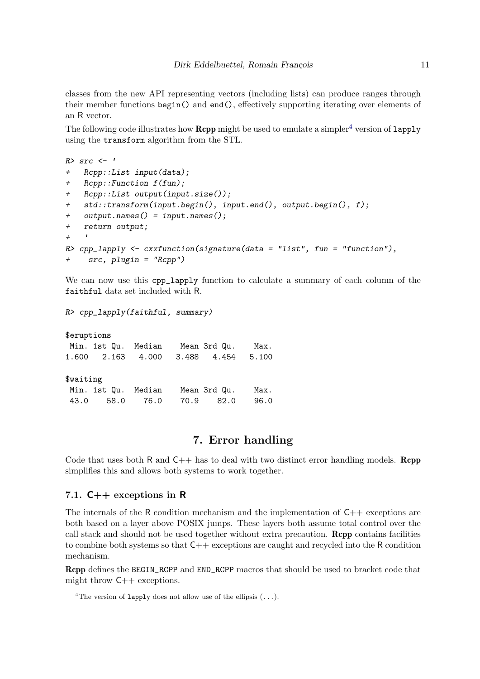classes from the new API representing vectors (including lists) can produce ranges through their member functions begin() and end(), effectively supporting iterating over elements of an R vector.

The following code illustrates how **Rcpp** might be used to emulate a simpler<sup>4</sup> version of  $\text{lapply}$ using the transform algorithm from the STL.

```
R> src <- ✬
+ Rcpp::List input(data);
+ Rcpp::Function f(fun);
+ Rcpp::List output(input.size());
+ std::transform(input.begin(), input.end(), output.begin(), f);
+ output.names() = input.names();
+ return output;
\begin{array}{ccc} & + & & r \\ & & + & \\ \end{array}R> cpp_lapply <- cxxfunction(signature(data = "list", fun = "function"),
     + src, plugin = "Rcpp")
```
We can now use this cpp\_lapply function to calculate a summary of each column of the faithful data set included with R.

*R> cpp\_lapply(faithful, summary)*

\$eruptions Min. 1st Qu. Median Mean 3rd Qu. Max. 1.600 2.163 4.000 3.488 4.454 5.100 \$waiting Min. 1st Qu. Median Mean 3rd Qu. Max. 43.0 58.0 76.0 70.9 82.0 96.0

## 7. Error handling

Code that uses both R and  $C_{++}$  has to deal with two distinct error handling models. **Rcpp** simplifies this and allows both systems to work together.

#### 7.1. C++ exceptions in R

The internals of the R condition mechanism and the implementation of  $C_{++}$  exceptions are both based on a layer above POSIX jumps. These layers both assume total control over the call stack and should not be used together without extra precaution. Rcpp contains facilities to combine both systems so that C++ exceptions are caught and recycled into the R condition mechanism.

Rcpp defines the BEGIN\_RCPP and END\_RCPP macros that should be used to bracket code that might throw C++ exceptions.

<sup>&</sup>lt;sup>4</sup>The version of lapply does not allow use of the ellipsis  $(\ldots)$ .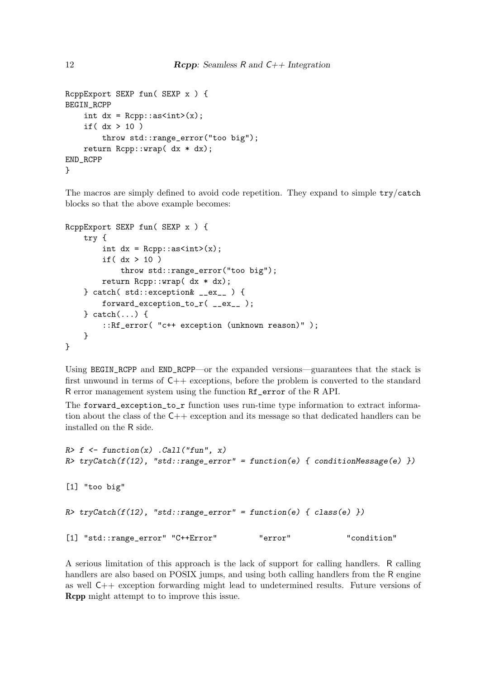```
RcppExport SEXP fun( SEXP x ) {
BEGIN_RCPP
    int dx = Rcpp::as<int>(x);if( dx > 10 )
        throw std::range_error("too big");
    return Rcpp::wrap( dx * dx);
END_RCPP
}
```
The macros are simply defined to avoid code repetition. They expand to simple try/catch blocks so that the above example becomes:

```
RcppExport SEXP fun( SEXP x ) {
    try {
        int dx = Rcpp::as<int>(x);if( dx > 10 )
            throw std::range_error("too big");
        return Rcpp::wrap( dx * dx);
    } catch( std::exception& __ex__ ) {
        forward_exception_to_r( __ex__ );
    } catch(...) {
        ::Rf_error( "c++ exception (unknown reason)" );
    }
}
```
Using BEGIN\_RCPP and END\_RCPP—or the expanded versions—guarantees that the stack is first unwound in terms of C++ exceptions, before the problem is converted to the standard R error management system using the function Rf\_error of the R API.

The forward\_exception\_to\_r function uses run-time type information to extract information about the class of the C++ exception and its message so that dedicated handlers can be installed on the R side.

```
R> f <- function(x) .Call("fun", x)
R> tryCatch(f(12), "std::range_error" = function(e) { conditionMessage(e) })
[1] "too big"
R> tryCatch(f(12), "std::range_error" = function(e) { class(e) })
[1] "std::range_error" "C++Error" "error" "condition"
```
A serious limitation of this approach is the lack of support for calling handlers. R calling handlers are also based on POSIX jumps, and using both calling handlers from the R engine as well C++ exception forwarding might lead to undetermined results. Future versions of Rcpp might attempt to to improve this issue.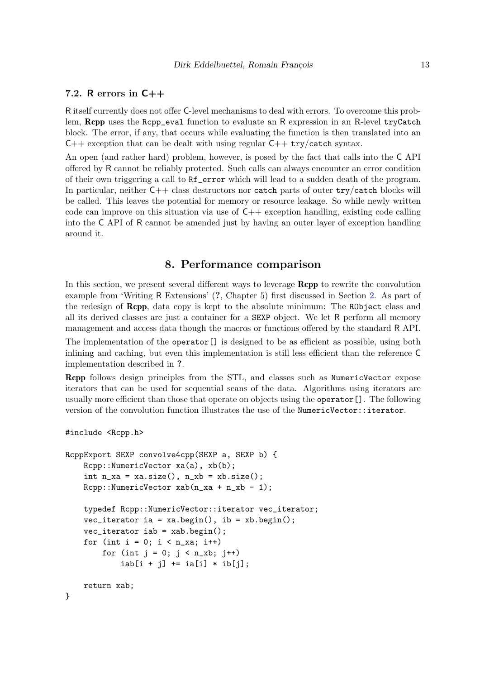### 7.2. R errors in C++

R itself currently does not offer C-level mechanisms to deal with errors. To overcome this problem, **Rcpp** uses the Rcpp\_eval function to evaluate an R expression in an R-level tryCatch block. The error, if any, that occurs while evaluating the function is then translated into an  $C++$  exception that can be dealt with using regular  $C++$  try/catch syntax.

An open (and rather hard) problem, however, is posed by the fact that calls into the C API offered by R cannot be reliably protected. Such calls can always encounter an error condition of their own triggering a call to Rf\_error which will lead to a sudden death of the program. In particular, neither  $C++$  class destructors nor catch parts of outer try/catch blocks will be called. This leaves the potential for memory or resource leakage. So while newly written code can improve on this situation via use of  $C_{++}$  exception handling, existing code calling into the C API of R cannot be amended just by having an outer layer of exception handling around it.

## 8. Performance comparison

In this section, we present several different ways to leverage **Rcpp** to rewrite the convolution example from 'Writing R Extensions' (?, Chapter 5) first discussed in Section 2. As part of the redesign of Rcpp, data copy is kept to the absolute minimum: The RObject class and all its derived classes are just a container for a SEXP object. We let R perform all memory management and access data though the macros or functions offered by the standard R API. The implementation of the operator<sup>[]</sup> is designed to be as efficient as possible, using both inlining and caching, but even this implementation is still less efficient than the reference C implementation described in ?.

Rcpp follows design principles from the STL, and classes such as NumericVector expose iterators that can be used for sequential scans of the data. Algorithms using iterators are usually more efficient than those that operate on objects using the operator[]. The following version of the convolution function illustrates the use of the NumericVector::iterator.

```
#include <Rcpp.h>
```

```
RcppExport SEXP convolve4cpp(SEXP a, SEXP b) {
   Rcpp::NumericVector xa(a), xb(b);
   int n_x = xa.size(), n_x = xb.size();Rcpp::NumericVector xab(n_xa + n_xb - 1);typedef Rcpp::NumericVector::iterator vec_iterator;
   vec\_iterator ia = xa.begin(), ib = xb.begin();
   vec_iterator iab = xab.begin();
   for (int i = 0; i < n_{max}; i++)for (int j = 0; j < n_k, j++)iab[i + j] += ia[i] * ib[j];return xab;
}
```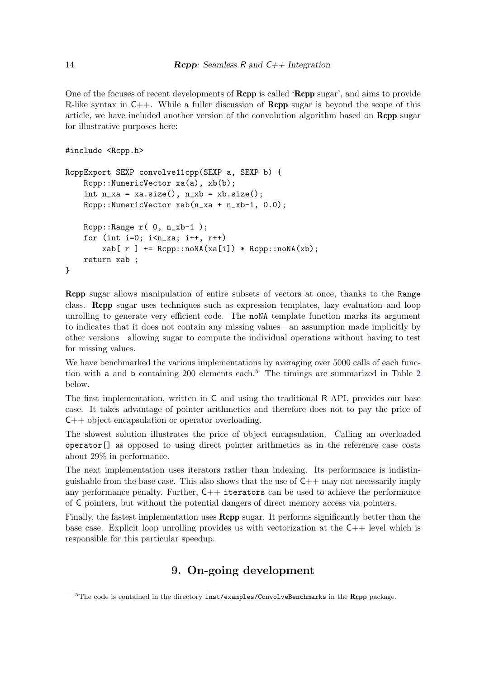One of the focuses of recent developments of **Rcpp** is called '**Rcpp** sugar', and aims to provide R-like syntax in  $C++$ . While a fuller discussion of **Rcpp** sugar is beyond the scope of this article, we have included another version of the convolution algorithm based on Rcpp sugar for illustrative purposes here:

```
#include <Rcpp.h>
```

```
RcppExport SEXP convolve11cpp(SEXP a, SEXP b) {
    Rcpp::NumericVector xa(a), xb(b);
    int n_x = xa.size(), n_x = xb.size();Rcpp::NumericVector xab(n_xa + n_xb-1, 0.0);
    Rcpp::Range r( 0, n_xb-1 );
    for (int i=0; i < n<sub>-</sub>xa; i++, r++)
        xab[ r ] += Rcpp::noNA(xa[i]) * Rcpp::noNA(xb);return xab ;
}
```
Rcpp sugar allows manipulation of entire subsets of vectors at once, thanks to the Range class. Rcpp sugar uses techniques such as expression templates, lazy evaluation and loop unrolling to generate very efficient code. The noNA template function marks its argument to indicates that it does not contain any missing values—an assumption made implicitly by other versions—allowing sugar to compute the individual operations without having to test for missing values.

We have benchmarked the various implementations by averaging over 5000 calls of each function with a and b containing 200 elements each.<sup>5</sup> The timings are summarized in Table 2 below.

The first implementation, written in C and using the traditional R API, provides our base case. It takes advantage of pointer arithmetics and therefore does not to pay the price of C++ object encapsulation or operator overloading.

The slowest solution illustrates the price of object encapsulation. Calling an overloaded operator[] as opposed to using direct pointer arithmetics as in the reference case costs about 29% in performance.

The next implementation uses iterators rather than indexing. Its performance is indistinguishable from the base case. This also shows that the use of  $C++$  may not necessarily imply any performance penalty. Further,  $C_{++}$  iterators can be used to achieve the performance of C pointers, but without the potential dangers of direct memory access via pointers.

Finally, the fastest implementation uses Rcpp sugar. It performs significantly better than the base case. Explicit loop unrolling provides us with vectorization at the  $C++$  level which is responsible for this particular speedup.

# 9. On-going development

 $5$ The code is contained in the directory  $inst$ /examples/ConvolveBenchmarks in the Rcpp package.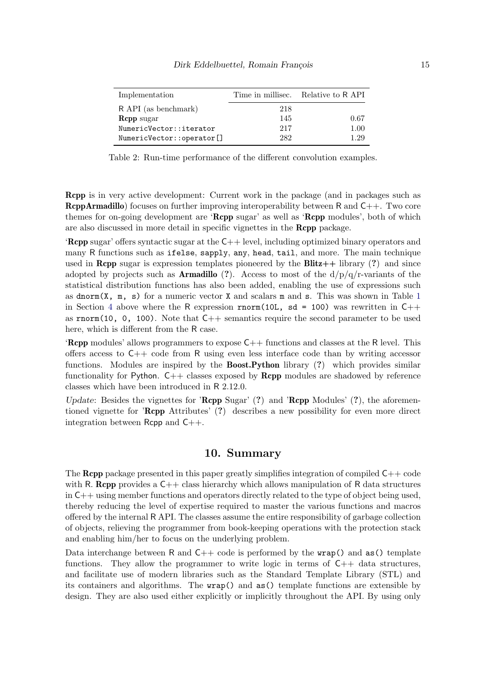| Implementation            |     | Time in millisec. Relative to R API |
|---------------------------|-----|-------------------------------------|
| R API (as benchmark)      | 218 |                                     |
| <b>Repp</b> sugar         | 145 | 0.67                                |
| NumericVector::iterator   | 217 | 1.00                                |
| NumericVector::operator[] | 282 | 1.29                                |

Table 2: Run-time performance of the different convolution examples.

Rcpp is in very active development: Current work in the package (and in packages such as **RcppArmadillo**) focuses on further improving interoperability between R and  $C_{++}$ . Two core themes for on-going development are '**Rcpp** sugar' as well as '**Rcpp** modules', both of which are also discussed in more detail in specific vignettes in the Rcpp package.

'Rcpp sugar' offers syntactic sugar at the C++ level, including optimized binary operators and many R functions such as ifelse, sapply, any, head, tail, and more. The main technique used in **Rcpp** sugar is expression templates pioneered by the **Blitz**++ library  $(?)$  and since adopted by projects such as **Armadillo** (?). Access to most of the  $d/p/q/r$ -variants of the statistical distribution functions has also been added, enabling the use of expressions such as dnorm $(X, m, s)$  for a numeric vector X and scalars m and s. This was shown in Table 1 in Section 4 above where the R expression rnorm(10L,  $sd = 100$ ) was rewritten in C++ as rnorm(10, 0, 100). Note that  $C_{++}$  semantics require the second parameter to be used here, which is different from the R case.

**'Rcpp** modules' allows programmers to expose  $C++$  functions and classes at the R level. This offers access to  $C_{++}$  code from R using even less interface code than by writing accessor functions. Modules are inspired by the **Boost.Python** library (?) which provides similar functionality for Python.  $C++$  classes exposed by **Rcpp** modules are shadowed by reference classes which have been introduced in R 2.12.0.

Update: Besides the vignettes for 'Rcpp Sugar'  $(?)$  and 'Rcpp Modules'  $(?)$ , the aforementioned vignette for 'Rcpp Attributes' (?) describes a new possibility for even more direct integration between  $\mathsf{Rcpp}$  and  $\mathsf{C++}$ .

### 10. Summary

The **Rcpp** package presented in this paper greatly simplifies integration of compiled  $C++$  code with R. Repp provides a  $C_{++}$  class hierarchy which allows manipulation of R data structures in C++ using member functions and operators directly related to the type of object being used, thereby reducing the level of expertise required to master the various functions and macros offered by the internal R API. The classes assume the entire responsibility of garbage collection of objects, relieving the programmer from book-keeping operations with the protection stack and enabling him/her to focus on the underlying problem.

Data interchange between R and  $C++$  code is performed by the wrap() and as() template functions. They allow the programmer to write logic in terms of  $C_{++}$  data structures, and facilitate use of modern libraries such as the Standard Template Library (STL) and its containers and algorithms. The wrap() and as() template functions are extensible by design. They are also used either explicitly or implicitly throughout the API. By using only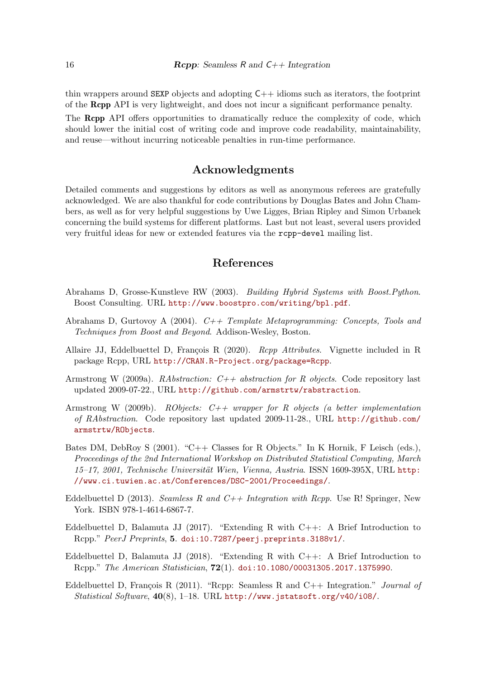thin wrappers around SEXP objects and adopting C++ idioms such as iterators, the footprint of the Rcpp API is very lightweight, and does not incur a significant performance penalty.

The Rcpp API offers opportunities to dramatically reduce the complexity of code, which should lower the initial cost of writing code and improve code readability, maintainability, and reuse—without incurring noticeable penalties in run-time performance.

### Acknowledgments

Detailed comments and suggestions by editors as well as anonymous referees are gratefully acknowledged. We are also thankful for code contributions by Douglas Bates and John Chambers, as well as for very helpful suggestions by Uwe Ligges, Brian Ripley and Simon Urbanek concerning the build systems for different platforms. Last but not least, several users provided very fruitful ideas for new or extended features via the rcpp-devel mailing list.

## References

- Abrahams D, Grosse-Kunstleve RW (2003). Building Hybrid Systems with Boost.Python. Boost Consulting. URL http://www.boostpro.com/writing/bpl.pdf.
- Abrahams D, Gurtovoy A (2004).  $C++$  Template Metaprogramming: Concepts, Tools and Techniques from Boost and Beyond. Addison-Wesley, Boston.
- Allaire JJ, Eddelbuettel D, François R (2020). Rcpp Attributes. Vignette included in R package Rcpp, URL http://CRAN.R-Project.org/package=Rcpp.
- Armstrong W (2009a). RAbstraction:  $C++$  abstraction for R objects. Code repository last updated 2009-07-22., URL http://github.com/armstrtw/rabstraction.
- Armstrong W (2009b). RObjects:  $C++$  wrapper for R objects (a better implementation of RAbstraction. Code repository last updated 2009-11-28., URL http://github.com/ armstrtw/RObjects.
- Bates DM, DebRoy S (2001). "C++ Classes for R Objects." In K Hornik, F Leisch (eds.), Proceedings of the 2nd International Workshop on Distributed Statistical Computing, March 15–17, 2001, Technische Universität Wien, Vienna, Austria. ISSN 1609-395X, URL http: //www.ci.tuwien.ac.at/Conferences/DSC-2001/Proceedings/.
- Eddelbuettel D (2013). Seamless R and  $C++$  Integration with Rcpp. Use R! Springer, New York. ISBN 978-1-4614-6867-7.
- Eddelbuettel D, Balamuta JJ (2017). "Extending R with  $C++$ : A Brief Introduction to Rcpp." PeerJ Preprints, 5. doi:10.7287/peerj.preprints.3188v1/.
- Eddelbuettel D, Balamuta JJ (2018). "Extending R with  $C++$ : A Brief Introduction to Rcpp." The American Statistician, 72(1). doi:10.1080/00031305.2017.1375990.
- Eddelbuettel D, François R (2011). "Rcpp: Seamless R and  $C++$  Integration." *Journal of* Statistical Software, 40(8), 1–18. URL http://www.jstatsoft.org/v40/i08/.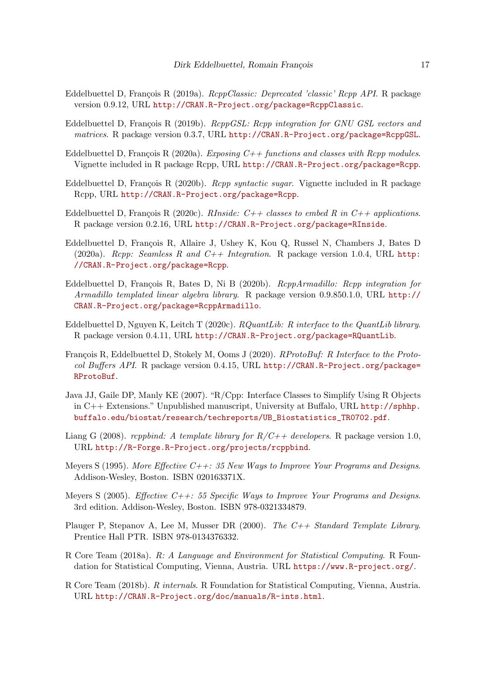- Eddelbuettel D, François R (2019a). RcppClassic: Deprecated 'classic' Rcpp API. R package version 0.9.12, URL http://CRAN.R-Project.org/package=RcppClassic.
- Eddelbuettel D, François R (2019b).  $RcppGSL: Rcpp$  integration for GNU GSL vectors and matrices. R package version 0.3.7, URL http://CRAN.R-Project.org/package=RcppGSL.
- Eddelbuettel D, François R (2020a). Exposing  $C++$  functions and classes with Rcpp modules. Vignette included in R package Rcpp, URL http://CRAN.R-Project.org/package=Rcpp.
- Eddelbuettel D, François R (2020b). Rcpp syntactic sugar. Vignette included in R package Rcpp, URL http://CRAN.R-Project.org/package=Rcpp.
- Eddelbuettel D, François R (2020c). RInside:  $C++$  classes to embed R in  $C++$  applications. R package version 0.2.16, URL http://CRAN.R-Project.org/package=RInside.
- Eddelbuettel D, François R, Allaire J, Ushey K, Kou Q, Russel N, Chambers J, Bates D (2020a). Rcpp: Seamless R and  $C++$  Integration. R package version 1.0.4, URL http: //CRAN.R-Project.org/package=Rcpp.
- Eddelbuettel D, François R, Bates D, Ni B (2020b).  $RcppArmadillo: Rcpp$  integration for Armadillo templated linear algebra library. R package version 0.9.850.1.0, URL http:// CRAN.R-Project.org/package=RcppArmadillo.
- Eddelbuettel D, Nguyen K, Leitch T (2020c). RQuantLib: R interface to the QuantLib library. R package version 0.4.11, URL http://CRAN.R-Project.org/package=RQuantLib.
- François R, Eddelbuettel D, Stokely M, Ooms J (2020). RProtoBuf: R Interface to the Protocol Buffers API. R package version 0.4.15, URL http://CRAN.R-Project.org/package= RProtoBuf.
- Java JJ, Gaile DP, Manly KE (2007). "R/Cpp: Interface Classes to Simplify Using R Objects in C++ Extensions." Unpublished manuscript, University at Buffalo, URL http://sphhp. buffalo.edu/biostat/research/techreports/UB\_Biostatistics\_TR0702.pdf.
- Liang G (2008). rcppbind: A template library for  $R/C++$  developers. R package version 1.0, URL http://R-Forge.R-Project.org/projects/rcppbind.
- Meyers S (1995). More Effective  $C++$ : 35 New Ways to Improve Your Programs and Designs. Addison-Wesley, Boston. ISBN 020163371X.
- Meyers S (2005). *Effective C++: 55 Specific Ways to Improve Your Programs and Designs.* 3rd edition. Addison-Wesley, Boston. ISBN 978-0321334879.
- Plauger P, Stepanov A, Lee M, Musser DR (2000). The  $C++ Standard$  Template Library. Prentice Hall PTR. ISBN 978-0134376332.
- R Core Team (2018a). R: A Language and Environment for Statistical Computing. R Foundation for Statistical Computing, Vienna, Austria. URL https://www.R-project.org/.
- R Core Team (2018b). R internals. R Foundation for Statistical Computing, Vienna, Austria. URL http://CRAN.R-Project.org/doc/manuals/R-ints.html.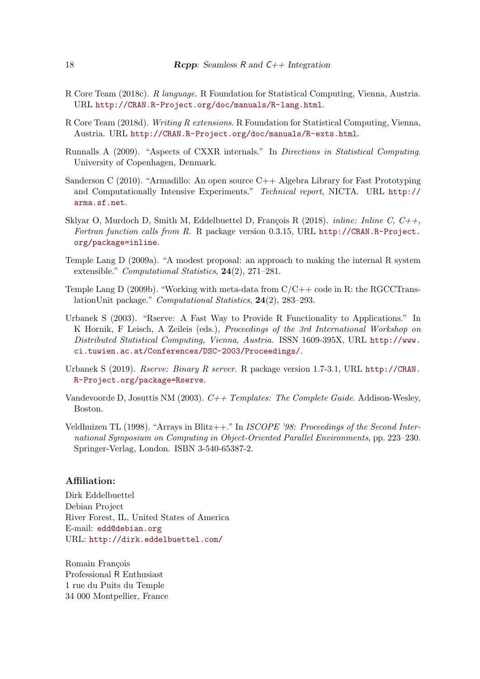- R Core Team (2018c). R language. R Foundation for Statistical Computing, Vienna, Austria. URL http://CRAN.R-Project.org/doc/manuals/R-lang.html.
- R Core Team (2018d). Writing R extensions. R Foundation for Statistical Computing, Vienna, Austria. URL http://CRAN.R-Project.org/doc/manuals/R-exts.html.
- Runnalls A (2009). "Aspects of CXXR internals." In Directions in Statistical Computing. University of Copenhagen, Denmark.
- Sanderson C (2010). "Armadillo: An open source C++ Algebra Library for Fast Prototyping and Computationally Intensive Experiments." Technical report, NICTA. URL http:// arma.sf.net.
- Sklyar O, Murdoch D, Smith M, Eddelbuettel D, François R (2018). *inline: Inline C, C++*, Fortran function calls from R. R package version 0.3.15, URL http://CRAN.R-Project. org/package=inline.
- Temple Lang D (2009a). "A modest proposal: an approach to making the internal R system extensible." Computational Statistics, 24(2), 271–281.
- Temple Lang D (2009b). "Working with meta-data from  $C/C++$  code in R: the RGCCTranslationUnit package." Computational Statistics, 24(2), 283–293.
- Urbanek S (2003). "Rserve: A Fast Way to Provide R Functionality to Applications." In K Hornik, F Leisch, A Zeileis (eds.), Proceedings of the 3rd International Workshop on Distributed Statistical Computing, Vienna, Austria. ISSN 1609-395X, URL http://www. ci.tuwien.ac.at/Conferences/DSC-2003/Proceedings/.
- Urbanek S (2019). Rserve: Binary R server. R package version 1.7-3.1, URL http://CRAN. R-Project.org/package=Rserve.
- Vandevoorde D, Josuttis NM (2003). C++ Templates: The Complete Guide. Addison-Wesley, Boston.
- Veldhuizen TL (1998). "Arrays in Blitz++." In ISCOPE '98: Proceedings of the Second International Symposium on Computing in Object-Oriented Parallel Environments, pp. 223–230. Springer-Verlag, London. ISBN 3-540-65387-2.

### Affiliation:

Dirk Eddelbuettel Debian Project River Forest, IL, United States of America E-mail: edd@debian.org URL: http://dirk.eddelbuettel.com/

Romain François Professional R Enthusiast 1 rue du Puits du Temple 34 000 Montpellier, France